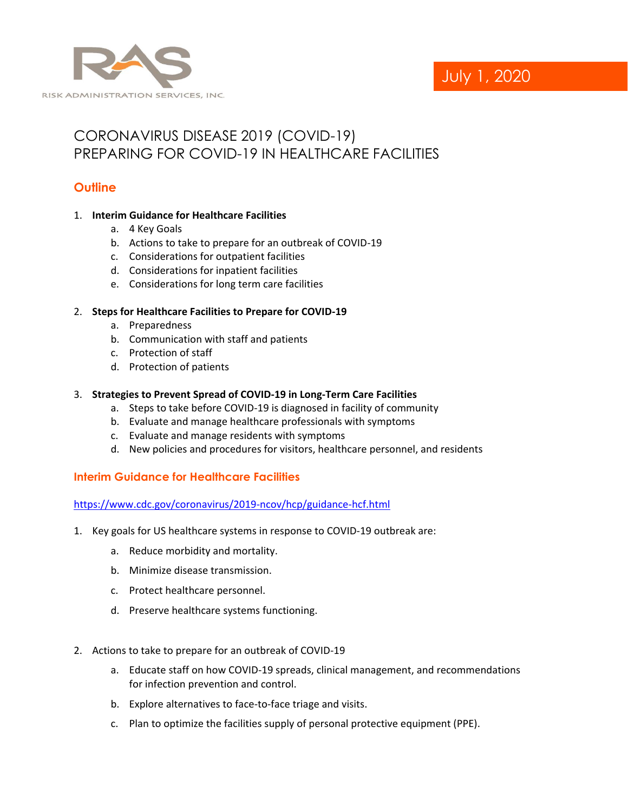

# July 1, 2020

## CORONAVIRUS DISEASE 2019 (COVID-19) PREPARING FOR COVID-19 IN HEALTHCARE FACILITIES

## **Outline**

#### 1. **Interim Guidance for Healthcare Facilities**

- a. 4 Key Goals
- b. Actions to take to prepare for an outbreak of COVID-19
- c. Considerations for outpatient facilities
- d. Considerations for inpatient facilities
- e. Considerations for long term care facilities

#### 2. **Steps for Healthcare Facilities to Prepare for COVID-19**

- a. Preparedness
- b. Communication with staff and patients
- c. Protection of staff
- d. Protection of patients

#### 3. **Strategies to Prevent Spread of COVID-19 in Long-Term Care Facilities**

- a. Steps to take before COVID-19 is diagnosed in facility of community
- b. Evaluate and manage healthcare professionals with symptoms
- c. Evaluate and manage residents with symptoms
- d. New policies and procedures for visitors, healthcare personnel, and residents

#### **Interim Guidance for Healthcare Facilities**

<https://www.cdc.gov/coronavirus/2019-ncov/hcp/guidance-hcf.html>

- 1. Key goals for US healthcare systems in response to COVID-19 outbreak are:
	- a. Reduce morbidity and mortality.
	- b. Minimize disease transmission.
	- c. Protect healthcare personnel.
	- d. Preserve healthcare systems functioning.
- 2. Actions to take to prepare for an outbreak of COVID-19
	- a. Educate staff on how COVID-19 spreads, clinical management, and recommendations for infection prevention and control.
	- b. Explore alternatives to face-to-face triage and visits.
	- c. Plan to optimize the facilities supply of personal protective equipment (PPE).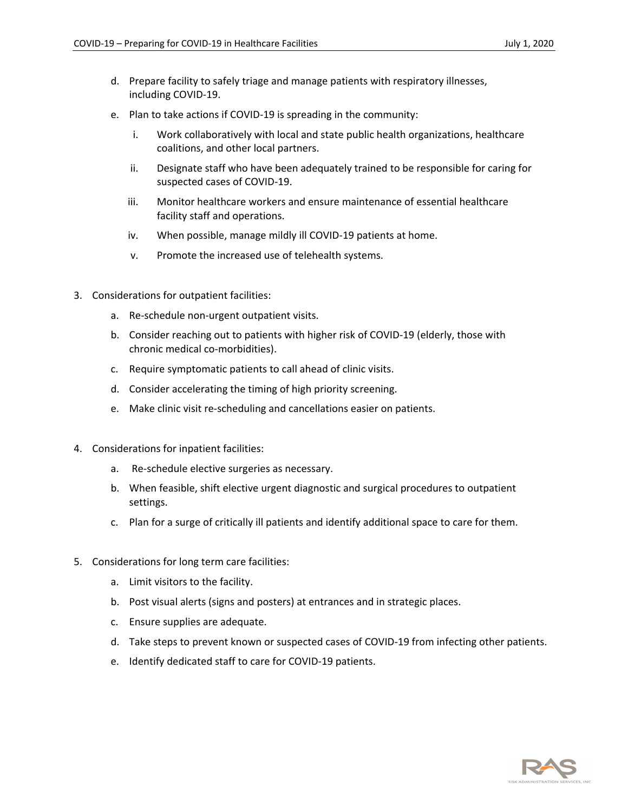- d. Prepare facility to safely triage and manage patients with respiratory illnesses, including COVID-19.
- e. Plan to take actions if COVID-19 is spreading in the community:
	- i. Work collaboratively with local and state public health organizations, healthcare coalitions, and other local partners.
	- ii. Designate staff who have been adequately trained to be responsible for caring for suspected cases of COVID-19.
	- iii. Monitor healthcare workers and ensure maintenance of essential healthcare facility staff and operations.
	- iv. When possible, manage mildly ill COVID-19 patients at home.
	- v. Promote the increased use of telehealth systems.
- 3. Considerations for outpatient facilities:
	- a. Re-schedule non-urgent outpatient visits.
	- b. Consider reaching out to patients with higher risk of COVID-19 (elderly, those with chronic medical co-morbidities).
	- c. Require symptomatic patients to call ahead of clinic visits.
	- d. Consider accelerating the timing of high priority screening.
	- e. Make clinic visit re-scheduling and cancellations easier on patients.
- 4. Considerations for inpatient facilities:
	- a. Re-schedule elective surgeries as necessary.
	- b. When feasible, shift elective urgent diagnostic and surgical procedures to outpatient settings.
	- c. Plan for a surge of critically ill patients and identify additional space to care for them.
- 5. Considerations for long term care facilities:
	- a. Limit visitors to the facility.
	- b. Post visual alerts (signs and posters) at entrances and in strategic places.
	- c. Ensure supplies are adequate.
	- d. Take steps to prevent known or suspected cases of COVID-19 from infecting other patients.
	- e. Identify dedicated staff to care for COVID-19 patients.

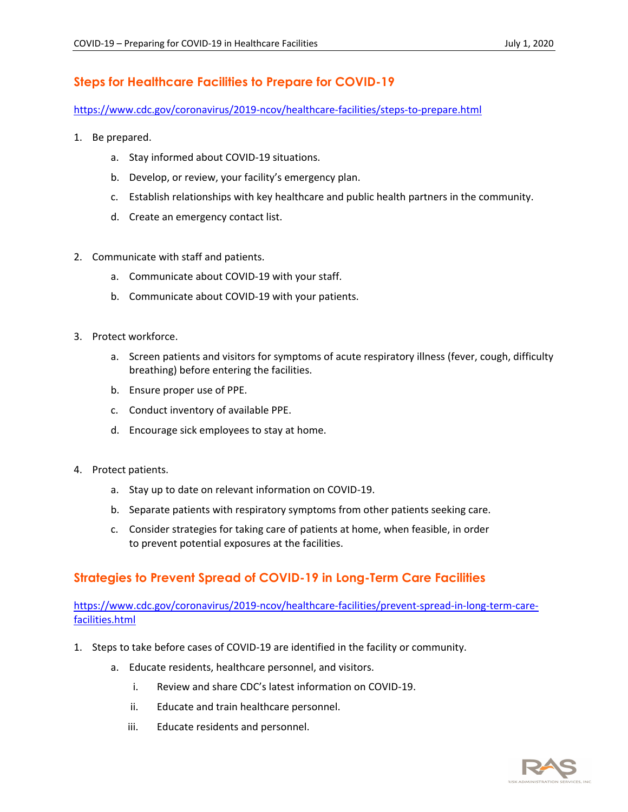## **Steps for Healthcare Facilities to Prepare for COVID-19**

#### <https://www.cdc.gov/coronavirus/2019-ncov/healthcare-facilities/steps-to-prepare.html>

- 1. Be prepared.
	- a. Stay informed about COVID-19 situations.
	- b. Develop, or review, your facility's emergency plan.
	- c. Establish relationships with key healthcare and public health partners in the community.
	- d. Create an emergency contact list.
- 2. Communicate with staff and patients.
	- a. Communicate about COVID-19 with your staff.
	- b. Communicate about COVID-19 with your patients.
- 3. Protect workforce.
	- a. Screen patients and visitors for symptoms of acute respiratory illness (fever, cough, difficulty breathing) before entering the facilities.
	- b. Ensure proper use of PPE.
	- c. Conduct inventory of available PPE.
	- d. Encourage sick employees to stay at home.
- 4. Protect patients.
	- a. Stay up to date on relevant information on COVID-19.
	- b. Separate patients with respiratory symptoms from other patients seeking care.
	- c. Consider strategies for taking care of patients at home, when feasible, in order to prevent potential exposures at the facilities.

## **Strategies to Prevent Spread of COVID-19 in Long-Term Care Facilities**

[https://www.cdc.gov/coronavirus/2019-ncov/healthcare-facilities/prevent-spread-in-long-term-care](https://www.cdc.gov/coronavirus/2019-ncov/healthcare-facilities/prevent-spread-in-long-term-care-facilities.html)[facilities.html](https://www.cdc.gov/coronavirus/2019-ncov/healthcare-facilities/prevent-spread-in-long-term-care-facilities.html)

- 1. Steps to take before cases of COVID-19 are identified in the facility or community.
	- a. Educate residents, healthcare personnel, and visitors.
		- i. Review and share CDC's latest information on COVID-19.
		- ii. Educate and train healthcare personnel.
		- iii. Educate residents and personnel.